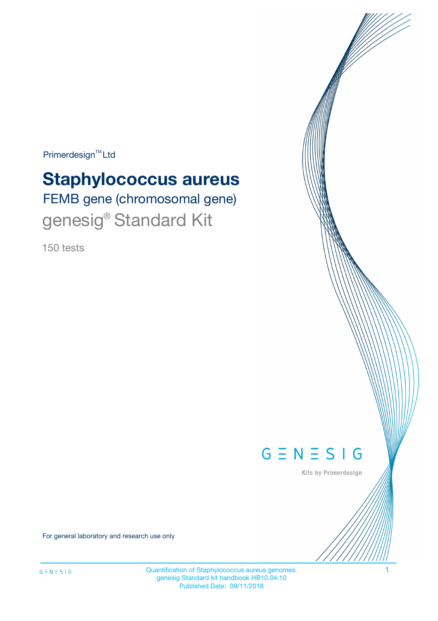Primerdesign<sup>™</sup>Ltd

# FEMB gene (chromosomal gene) **Staphylococcus aureus**

genesig® Standard Kit

150 tests



Kits by Primerdesign

For general laboratory and research use only

Quantification of Staphylococcus aureus genomes. 1 genesig Standard kit handbook HB10.04.10 Published Date: 09/11/2018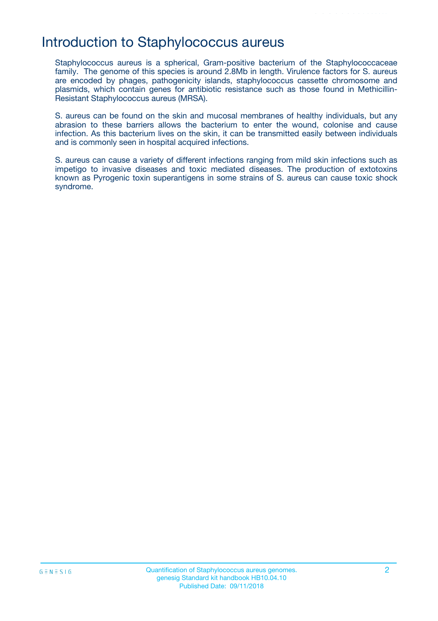## Introduction to Staphylococcus aureus

Staphylococcus aureus is a spherical, Gram-positive bacterium of the Staphylococcaceae family. The genome of this species is around 2.8Mb in length. Virulence factors for S. aureus are encoded by phages, pathogenicity islands, staphylococcus cassette chromosome and plasmids, which contain genes for antibiotic resistance such as those found in Methicillin-Resistant Staphylococcus aureus (MRSA).

S. aureus can be found on the skin and mucosal membranes of healthy individuals, but any abrasion to these barriers allows the bacterium to enter the wound, colonise and cause infection. As this bacterium lives on the skin, it can be transmitted easily between individuals and is commonly seen in hospital acquired infections.

S. aureus can cause a variety of different infections ranging from mild skin infections such as impetigo to invasive diseases and toxic mediated diseases. The production of extotoxins known as Pyrogenic toxin superantigens in some strains of S. aureus can cause toxic shock syndrome.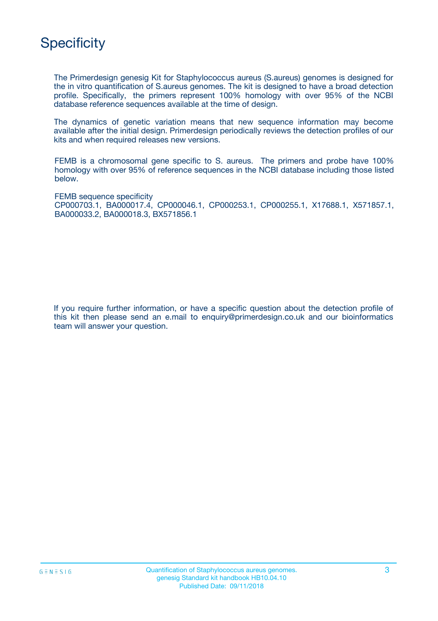

The Primerdesign genesig Kit for Staphylococcus aureus (S.aureus) genomes is designed for the in vitro quantification of S.aureus genomes. The kit is designed to have a broad detection profile. Specifically, the primers represent 100% homology with over 95% of the NCBI database reference sequences available at the time of design.

The dynamics of genetic variation means that new sequence information may become available after the initial design. Primerdesign periodically reviews the detection profiles of our kits and when required releases new versions.

FEMB is a chromosomal gene specific to S. aureus. The primers and probe have 100% homology with over 95% of reference sequences in the NCBI database including those listed below.

FEMB sequence specificity CP000703.1, BA000017.4, CP000046.1, CP000253.1, CP000255.1, X17688.1, X571857.1, BA000033.2, BA000018.3, BX571856.1

If you require further information, or have a specific question about the detection profile of this kit then please send an e.mail to enquiry@primerdesign.co.uk and our bioinformatics team will answer your question.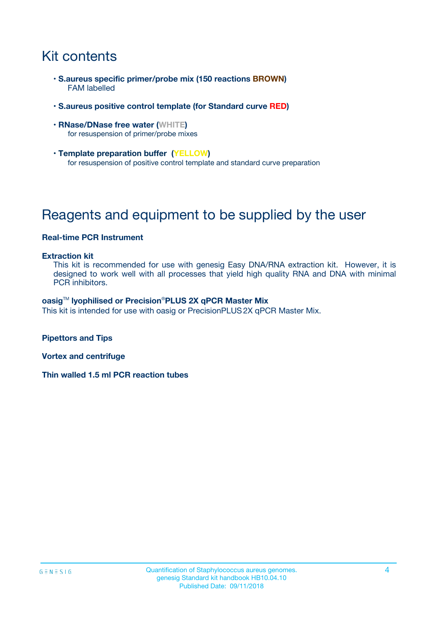## Kit contents

- **S.aureus specific primer/probe mix (150 reactions BROWN)** FAM labelled
- **S.aureus positive control template (for Standard curve RED)**
- **RNase/DNase free water (WHITE)** for resuspension of primer/probe mixes
- **Template preparation buffer (YELLOW)** for resuspension of positive control template and standard curve preparation

## Reagents and equipment to be supplied by the user

### **Real-time PCR Instrument**

#### **Extraction kit**

This kit is recommended for use with genesig Easy DNA/RNA extraction kit. However, it is designed to work well with all processes that yield high quality RNA and DNA with minimal PCR inhibitors.

#### **oasig**TM **lyophilised or Precision**®**PLUS 2X qPCR Master Mix**

This kit is intended for use with oasig or PrecisionPLUS2X qPCR Master Mix.

**Pipettors and Tips**

**Vortex and centrifuge**

**Thin walled 1.5 ml PCR reaction tubes**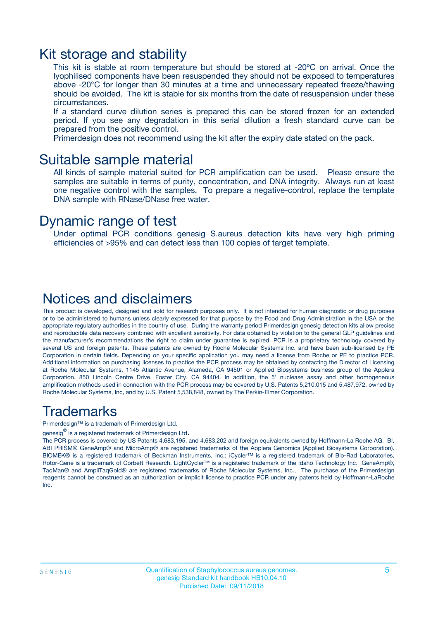### Kit storage and stability

This kit is stable at room temperature but should be stored at -20ºC on arrival. Once the lyophilised components have been resuspended they should not be exposed to temperatures above -20°C for longer than 30 minutes at a time and unnecessary repeated freeze/thawing should be avoided. The kit is stable for six months from the date of resuspension under these circumstances.

If a standard curve dilution series is prepared this can be stored frozen for an extended period. If you see any degradation in this serial dilution a fresh standard curve can be prepared from the positive control.

Primerdesign does not recommend using the kit after the expiry date stated on the pack.

### Suitable sample material

All kinds of sample material suited for PCR amplification can be used. Please ensure the samples are suitable in terms of purity, concentration, and DNA integrity. Always run at least one negative control with the samples. To prepare a negative-control, replace the template DNA sample with RNase/DNase free water.

### Dynamic range of test

Under optimal PCR conditions genesig S.aureus detection kits have very high priming efficiencies of >95% and can detect less than 100 copies of target template.

### Notices and disclaimers

This product is developed, designed and sold for research purposes only. It is not intended for human diagnostic or drug purposes or to be administered to humans unless clearly expressed for that purpose by the Food and Drug Administration in the USA or the appropriate regulatory authorities in the country of use. During the warranty period Primerdesign genesig detection kits allow precise and reproducible data recovery combined with excellent sensitivity. For data obtained by violation to the general GLP guidelines and the manufacturer's recommendations the right to claim under guarantee is expired. PCR is a proprietary technology covered by several US and foreign patents. These patents are owned by Roche Molecular Systems Inc. and have been sub-licensed by PE Corporation in certain fields. Depending on your specific application you may need a license from Roche or PE to practice PCR. Additional information on purchasing licenses to practice the PCR process may be obtained by contacting the Director of Licensing at Roche Molecular Systems, 1145 Atlantic Avenue, Alameda, CA 94501 or Applied Biosystems business group of the Applera Corporation, 850 Lincoln Centre Drive, Foster City, CA 94404. In addition, the 5' nuclease assay and other homogeneous amplification methods used in connection with the PCR process may be covered by U.S. Patents 5,210,015 and 5,487,972, owned by Roche Molecular Systems, Inc, and by U.S. Patent 5,538,848, owned by The Perkin-Elmer Corporation.

### Trademarks

Primerdesign™ is a trademark of Primerdesign Ltd.

genesig $^\circledR$  is a registered trademark of Primerdesign Ltd.

The PCR process is covered by US Patents 4,683,195, and 4,683,202 and foreign equivalents owned by Hoffmann-La Roche AG. BI, ABI PRISM® GeneAmp® and MicroAmp® are registered trademarks of the Applera Genomics (Applied Biosystems Corporation). BIOMEK® is a registered trademark of Beckman Instruments, Inc.; iCycler™ is a registered trademark of Bio-Rad Laboratories, Rotor-Gene is a trademark of Corbett Research. LightCycler™ is a registered trademark of the Idaho Technology Inc. GeneAmp®, TaqMan® and AmpliTaqGold® are registered trademarks of Roche Molecular Systems, Inc., The purchase of the Primerdesign reagents cannot be construed as an authorization or implicit license to practice PCR under any patents held by Hoffmann-LaRoche Inc.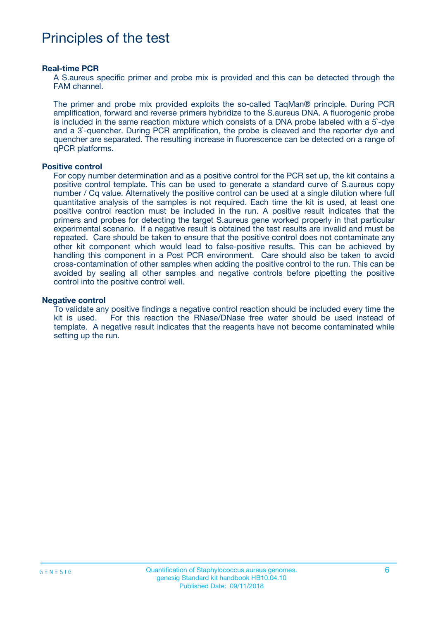## Principles of the test

#### **Real-time PCR**

A S.aureus specific primer and probe mix is provided and this can be detected through the FAM channel.

The primer and probe mix provided exploits the so-called TaqMan® principle. During PCR amplification, forward and reverse primers hybridize to the S.aureus DNA. A fluorogenic probe is included in the same reaction mixture which consists of a DNA probe labeled with a 5`-dye and a 3`-quencher. During PCR amplification, the probe is cleaved and the reporter dye and quencher are separated. The resulting increase in fluorescence can be detected on a range of qPCR platforms.

#### **Positive control**

For copy number determination and as a positive control for the PCR set up, the kit contains a positive control template. This can be used to generate a standard curve of S.aureus copy number / Cq value. Alternatively the positive control can be used at a single dilution where full quantitative analysis of the samples is not required. Each time the kit is used, at least one positive control reaction must be included in the run. A positive result indicates that the primers and probes for detecting the target S.aureus gene worked properly in that particular experimental scenario. If a negative result is obtained the test results are invalid and must be repeated. Care should be taken to ensure that the positive control does not contaminate any other kit component which would lead to false-positive results. This can be achieved by handling this component in a Post PCR environment. Care should also be taken to avoid cross-contamination of other samples when adding the positive control to the run. This can be avoided by sealing all other samples and negative controls before pipetting the positive control into the positive control well.

#### **Negative control**

To validate any positive findings a negative control reaction should be included every time the kit is used. For this reaction the RNase/DNase free water should be used instead of template. A negative result indicates that the reagents have not become contaminated while setting up the run.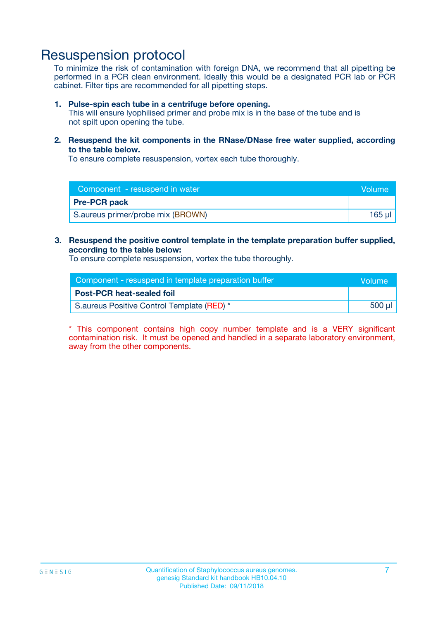## Resuspension protocol

To minimize the risk of contamination with foreign DNA, we recommend that all pipetting be performed in a PCR clean environment. Ideally this would be a designated PCR lab or PCR cabinet. Filter tips are recommended for all pipetting steps.

#### **1. Pulse-spin each tube in a centrifuge before opening.**

This will ensure lyophilised primer and probe mix is in the base of the tube and is not spilt upon opening the tube.

**2. Resuspend the kit components in the RNase/DNase free water supplied, according to the table below.**

To ensure complete resuspension, vortex each tube thoroughly.

| Component - resuspend in water<br>Volume |         |
|------------------------------------------|---------|
| <b>Pre-PCR pack</b>                      |         |
| S.aureus primer/probe mix (BROWN)        | $165$ µ |

### **3. Resuspend the positive control template in the template preparation buffer supplied, according to the table below:**

To ensure complete resuspension, vortex the tube thoroughly.

| Component - resuspend in template preparation buffer |        |  |
|------------------------------------------------------|--------|--|
| <b>Post-PCR heat-sealed foil</b>                     |        |  |
| S. aureus Positive Control Template (RED) *          | 500 µl |  |

\* This component contains high copy number template and is a VERY significant contamination risk. It must be opened and handled in a separate laboratory environment, away from the other components.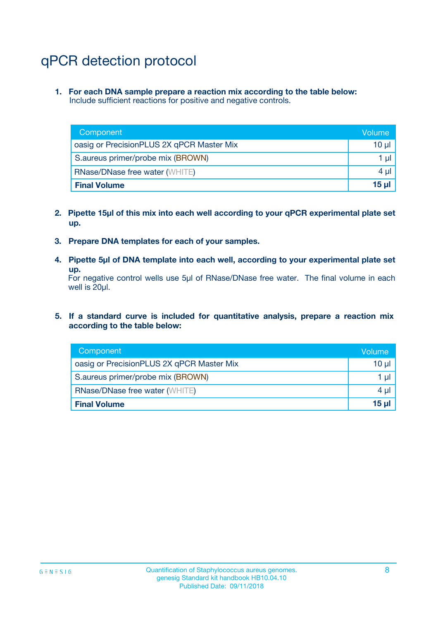## qPCR detection protocol

**1. For each DNA sample prepare a reaction mix according to the table below:** Include sufficient reactions for positive and negative controls.

| Component                                 | Volume           |
|-------------------------------------------|------------------|
| oasig or PrecisionPLUS 2X qPCR Master Mix | 10 $\mu$         |
| S.aureus primer/probe mix (BROWN)         | 1 $\mu$          |
| <b>RNase/DNase free water (WHITE)</b>     | $4 \mu$          |
| <b>Final Volume</b>                       | 15 <sub>ul</sub> |

- **2. Pipette 15µl of this mix into each well according to your qPCR experimental plate set up.**
- **3. Prepare DNA templates for each of your samples.**
- **4. Pipette 5µl of DNA template into each well, according to your experimental plate set up.**

For negative control wells use 5µl of RNase/DNase free water. The final volume in each well is 20µl.

**5. If a standard curve is included for quantitative analysis, prepare a reaction mix according to the table below:**

| Component                                 | Volume          |
|-------------------------------------------|-----------------|
| oasig or PrecisionPLUS 2X qPCR Master Mix | 10 µl           |
| S.aureus primer/probe mix (BROWN)         | 1 µI            |
| <b>RNase/DNase free water (WHITE)</b>     | $4 \mu$         |
| <b>Final Volume</b>                       | 15 <sub>µ</sub> |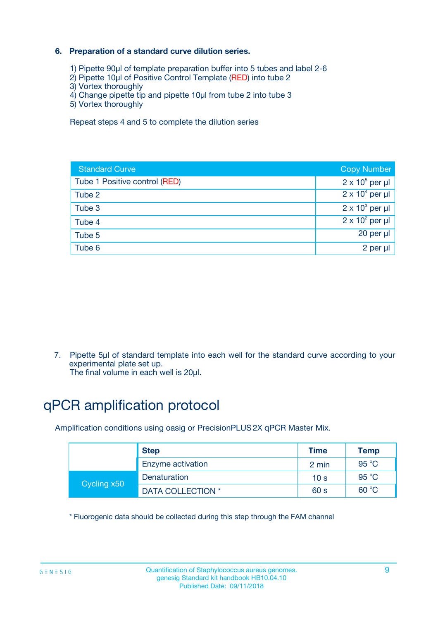### **6. Preparation of a standard curve dilution series.**

- 1) Pipette 90µl of template preparation buffer into 5 tubes and label 2-6
- 2) Pipette 10µl of Positive Control Template (RED) into tube 2
- 3) Vortex thoroughly
- 4) Change pipette tip and pipette 10µl from tube 2 into tube 3
- 5) Vortex thoroughly

Repeat steps 4 and 5 to complete the dilution series

| <b>Standard Curve</b>         | <b>Copy Number</b>     |
|-------------------------------|------------------------|
| Tube 1 Positive control (RED) | $2 \times 10^5$ per µl |
| Tube 2                        | $2 \times 10^4$ per µl |
| Tube 3                        | $2 \times 10^3$ per µl |
| Tube 4                        | $2 \times 10^2$ per µl |
| Tube 5                        | 20 per µl              |
| Tube 6                        | 2 per ul               |

7. Pipette 5µl of standard template into each well for the standard curve according to your experimental plate set up.

The final volume in each well is 20µl.

## qPCR amplification protocol

Amplification conditions using oasig or PrecisionPLUS2X qPCR Master Mix.

|             | <b>Step</b>       | <b>Time</b>     | Temp    |
|-------------|-------------------|-----------------|---------|
|             | Enzyme activation | 2 min           | 95 °C   |
| Cycling x50 | Denaturation      | 10 <sub>s</sub> | 95 $°C$ |
|             | DATA COLLECTION * | 60 s            | 60 °C   |

\* Fluorogenic data should be collected during this step through the FAM channel